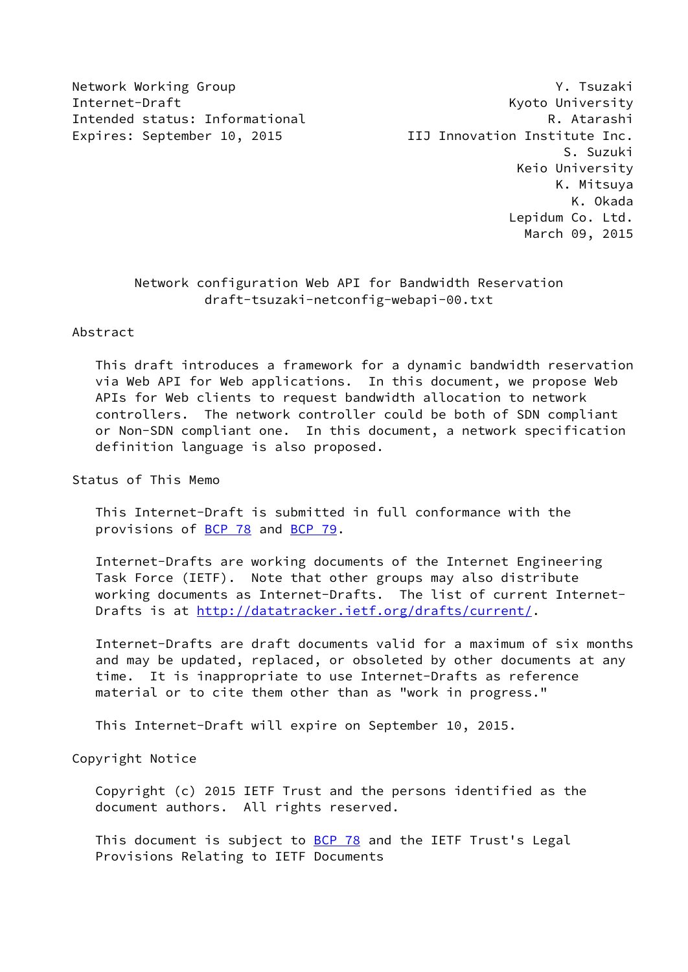Internet-Draft Kyoto University Intended status: Informational **R. Atarashi** Expires: September 10, 2015 <br>
IIJ Innovation Institute Inc.

Network Working Group **Y. The State Washington** West Working Crown and Muslim Washington Washington Washington W S. Suzuki Keio University K. Mitsuya K. Okada Lepidum Co. Ltd. March 09, 2015

# Network configuration Web API for Bandwidth Reservation draft-tsuzaki-netconfig-webapi-00.txt

Abstract

 This draft introduces a framework for a dynamic bandwidth reservation via Web API for Web applications. In this document, we propose Web APIs for Web clients to request bandwidth allocation to network controllers. The network controller could be both of SDN compliant or Non-SDN compliant one. In this document, a network specification definition language is also proposed.

Status of This Memo

 This Internet-Draft is submitted in full conformance with the provisions of [BCP 78](https://datatracker.ietf.org/doc/pdf/bcp78) and [BCP 79](https://datatracker.ietf.org/doc/pdf/bcp79).

 Internet-Drafts are working documents of the Internet Engineering Task Force (IETF). Note that other groups may also distribute working documents as Internet-Drafts. The list of current Internet Drafts is at<http://datatracker.ietf.org/drafts/current/>.

 Internet-Drafts are draft documents valid for a maximum of six months and may be updated, replaced, or obsoleted by other documents at any time. It is inappropriate to use Internet-Drafts as reference material or to cite them other than as "work in progress."

This Internet-Draft will expire on September 10, 2015.

Copyright Notice

 Copyright (c) 2015 IETF Trust and the persons identified as the document authors. All rights reserved.

This document is subject to **[BCP 78](https://datatracker.ietf.org/doc/pdf/bcp78)** and the IETF Trust's Legal Provisions Relating to IETF Documents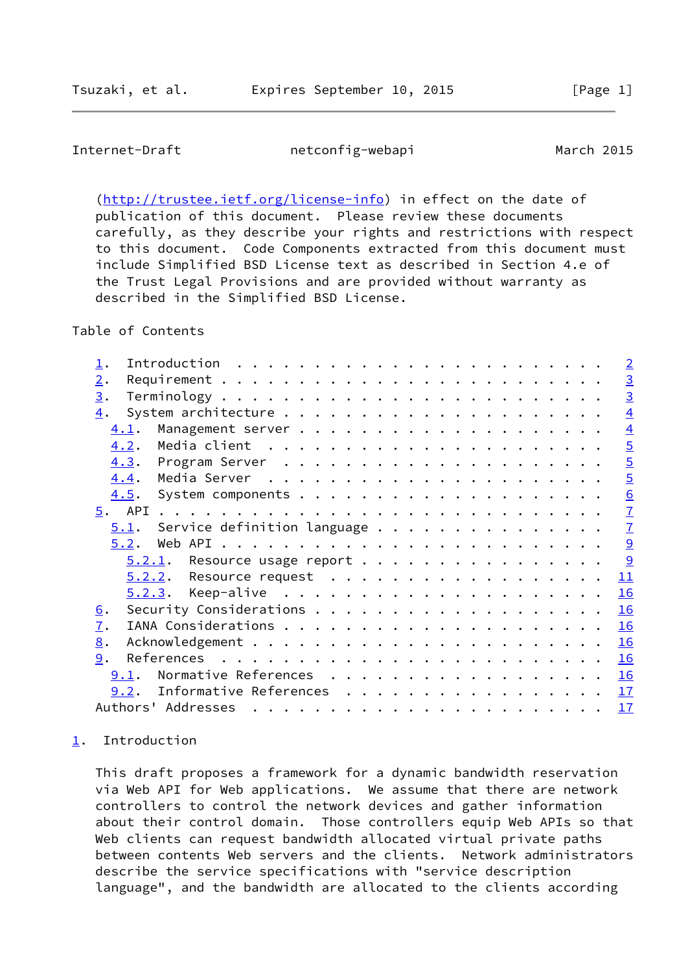<span id="page-1-1"></span> [\(http://trustee.ietf.org/license-info](http://trustee.ietf.org/license-info)) in effect on the date of publication of this document. Please review these documents carefully, as they describe your rights and restrictions with respect to this document. Code Components extracted from this document must include Simplified BSD License text as described in Section 4.e of the Trust Legal Provisions and are provided without warranty as described in the Simplified BSD License.

# Table of Contents

|                                                                                                                                                                                                                                                                                                                                                                                                                                                                | $\overline{2}$  |
|----------------------------------------------------------------------------------------------------------------------------------------------------------------------------------------------------------------------------------------------------------------------------------------------------------------------------------------------------------------------------------------------------------------------------------------------------------------|-----------------|
| 2.                                                                                                                                                                                                                                                                                                                                                                                                                                                             |                 |
| 3.                                                                                                                                                                                                                                                                                                                                                                                                                                                             | $\frac{3}{3}$   |
| $\overline{4}$ .                                                                                                                                                                                                                                                                                                                                                                                                                                               | $\overline{4}$  |
| 4.1.                                                                                                                                                                                                                                                                                                                                                                                                                                                           | $\overline{4}$  |
| 4.2.                                                                                                                                                                                                                                                                                                                                                                                                                                                           | $\overline{5}$  |
| 4.3.                                                                                                                                                                                                                                                                                                                                                                                                                                                           | $\overline{5}$  |
| 4.4.                                                                                                                                                                                                                                                                                                                                                                                                                                                           | $\overline{5}$  |
| 4.5.                                                                                                                                                                                                                                                                                                                                                                                                                                                           | $\underline{6}$ |
|                                                                                                                                                                                                                                                                                                                                                                                                                                                                | $\overline{1}$  |
| $5.1$ . Service definition language                                                                                                                                                                                                                                                                                                                                                                                                                            | $\overline{1}$  |
| 5.2.                                                                                                                                                                                                                                                                                                                                                                                                                                                           | 9               |
| $5.2.1$ . Resource usage report                                                                                                                                                                                                                                                                                                                                                                                                                                | $\overline{9}$  |
| $5.2.2$ . Resource request                                                                                                                                                                                                                                                                                                                                                                                                                                     | 11              |
|                                                                                                                                                                                                                                                                                                                                                                                                                                                                | 16              |
| <u>6</u> .                                                                                                                                                                                                                                                                                                                                                                                                                                                     | 16              |
| $\overline{1}$ .                                                                                                                                                                                                                                                                                                                                                                                                                                               | 16              |
| 8.                                                                                                                                                                                                                                                                                                                                                                                                                                                             | 16              |
| 9.                                                                                                                                                                                                                                                                                                                                                                                                                                                             | 16              |
| Normative References<br>9.1.                                                                                                                                                                                                                                                                                                                                                                                                                                   | 16              |
| 9.2. Informative References 17                                                                                                                                                                                                                                                                                                                                                                                                                                 |                 |
| Authors' Addresses<br>$\mathbf{a}^{(i)} \cdot \mathbf{a}^{(i)} \cdot \mathbf{a}^{(i)} \cdot \mathbf{a}^{(i)} \cdot \mathbf{a}^{(i)} \cdot \mathbf{a}^{(i)} \cdot \mathbf{a}^{(i)} \cdot \mathbf{a}^{(i)} \cdot \mathbf{a}^{(i)} \cdot \mathbf{a}^{(i)} \cdot \mathbf{a}^{(i)} \cdot \mathbf{a}^{(i)} \cdot \mathbf{a}^{(i)} \cdot \mathbf{a}^{(i)} \cdot \mathbf{a}^{(i)} \cdot \mathbf{a}^{(i)} \cdot \mathbf{a}^{(i)} \cdot \mathbf{a}^{(i)} \cdot \mathbf{$ | 17              |

### <span id="page-1-0"></span>[1](#page-1-0). Introduction

 This draft proposes a framework for a dynamic bandwidth reservation via Web API for Web applications. We assume that there are network controllers to control the network devices and gather information about their control domain. Those controllers equip Web APIs so that Web clients can request bandwidth allocated virtual private paths between contents Web servers and the clients. Network administrators describe the service specifications with "service description language", and the bandwidth are allocated to the clients according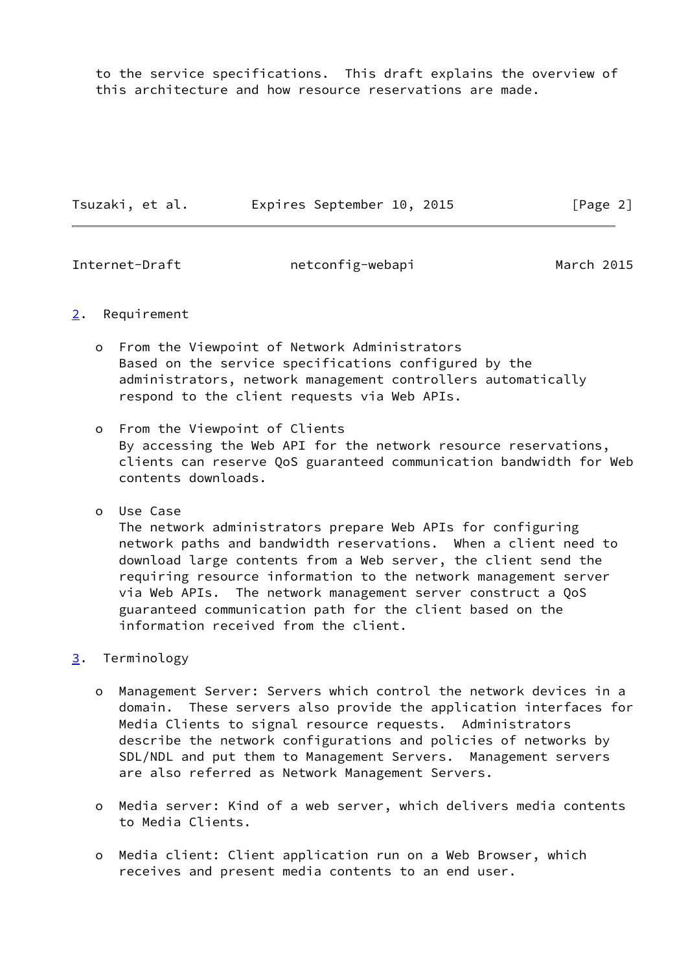to the service specifications. This draft explains the overview of this architecture and how resource reservations are made.

| Tsuzaki, et al. |  | Expires September 10, 2015 |  |  | [Page 2] |  |
|-----------------|--|----------------------------|--|--|----------|--|
|-----------------|--|----------------------------|--|--|----------|--|

<span id="page-2-1"></span>Internet-Draft netconfig-webapi March 2015

### <span id="page-2-0"></span>[2](#page-2-0). Requirement

- o From the Viewpoint of Network Administrators Based on the service specifications configured by the administrators, network management controllers automatically respond to the client requests via Web APIs.
- o From the Viewpoint of Clients By accessing the Web API for the network resource reservations, clients can reserve QoS guaranteed communication bandwidth for Web contents downloads.
- o Use Case The network administrators prepare Web APIs for configuring network paths and bandwidth reservations. When a client need to download large contents from a Web server, the client send the requiring resource information to the network management server via Web APIs. The network management server construct a QoS guaranteed communication path for the client based on the information received from the client.

# <span id="page-2-2"></span>[3](#page-2-2). Terminology

- o Management Server: Servers which control the network devices in a domain. These servers also provide the application interfaces for Media Clients to signal resource requests. Administrators describe the network configurations and policies of networks by SDL/NDL and put them to Management Servers. Management servers are also referred as Network Management Servers.
- o Media server: Kind of a web server, which delivers media contents to Media Clients.
- o Media client: Client application run on a Web Browser, which receives and present media contents to an end user.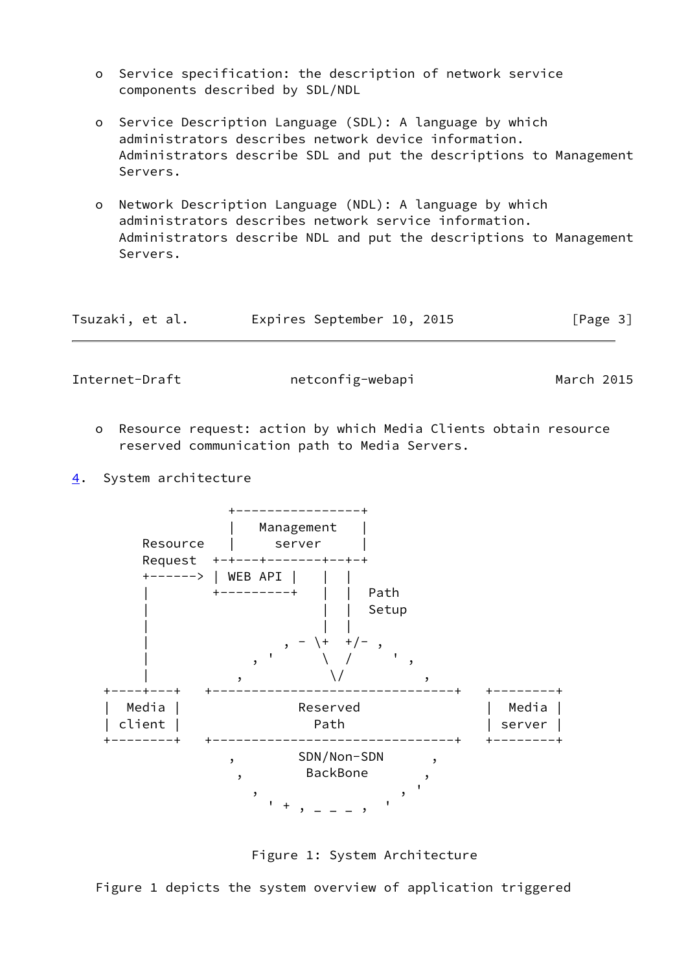- o Service specification: the description of network service components described by SDL/NDL
- o Service Description Language (SDL): A language by which administrators describes network device information. Administrators describe SDL and put the descriptions to Management Servers.
- o Network Description Language (NDL): A language by which administrators describes network service information. Administrators describe NDL and put the descriptions to Management Servers.

| Tsuzaki, et al. | Expires September 10, 2015 |  | [Page 3] |
|-----------------|----------------------------|--|----------|
|-----------------|----------------------------|--|----------|

<span id="page-3-1"></span>

- o Resource request: action by which Media Clients obtain resource reserved communication path to Media Servers.
- <span id="page-3-0"></span>[4](#page-3-0). System architecture





Figure 1 depicts the system overview of application triggered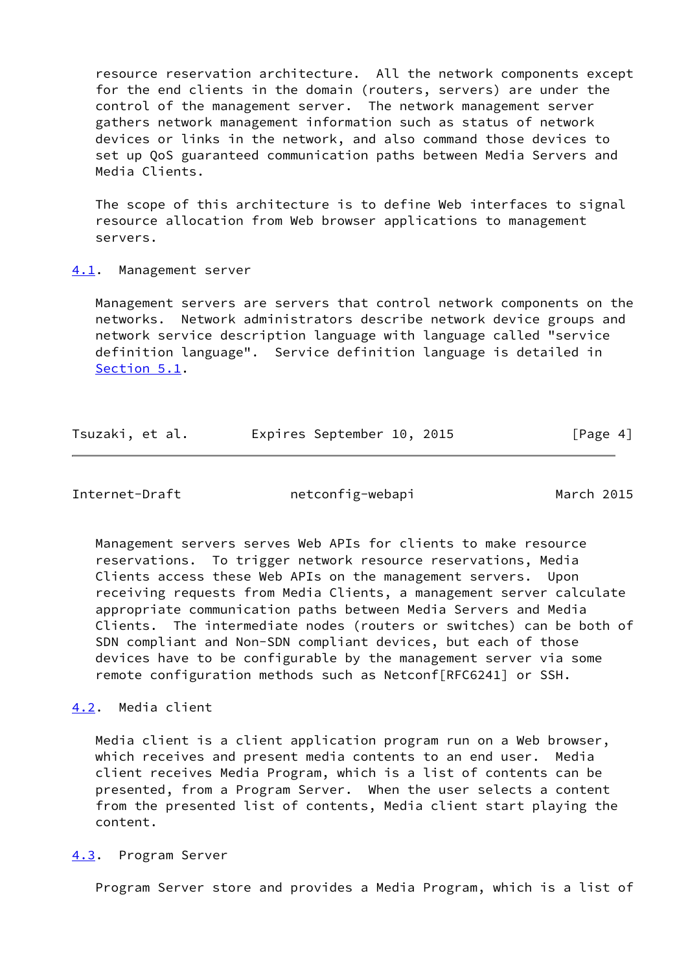resource reservation architecture. All the network components except for the end clients in the domain (routers, servers) are under the control of the management server. The network management server gathers network management information such as status of network devices or links in the network, and also command those devices to set up QoS guaranteed communication paths between Media Servers and Media Clients.

 The scope of this architecture is to define Web interfaces to signal resource allocation from Web browser applications to management servers.

#### <span id="page-4-0"></span>[4.1](#page-4-0). Management server

 Management servers are servers that control network components on the networks. Network administrators describe network device groups and network service description language with language called "service definition language". Service definition language is detailed in [Section 5.1](#page-6-2).

| Expires September 10, 2015 | Tsuzaki, et al. |  |  |  |  |  | [Page 4] |
|----------------------------|-----------------|--|--|--|--|--|----------|
|----------------------------|-----------------|--|--|--|--|--|----------|

<span id="page-4-2"></span>Internet-Draft netconfig-webapi March 2015

 Management servers serves Web APIs for clients to make resource reservations. To trigger network resource reservations, Media Clients access these Web APIs on the management servers. Upon receiving requests from Media Clients, a management server calculate appropriate communication paths between Media Servers and Media Clients. The intermediate nodes (routers or switches) can be both of SDN compliant and Non-SDN compliant devices, but each of those devices have to be configurable by the management server via some remote configuration methods such as Netconf[RFC6241] or SSH.

## <span id="page-4-1"></span>[4.2](#page-4-1). Media client

 Media client is a client application program run on a Web browser, which receives and present media contents to an end user. Media client receives Media Program, which is a list of contents can be presented, from a Program Server. When the user selects a content from the presented list of contents, Media client start playing the content.

#### <span id="page-4-3"></span>[4.3](#page-4-3). Program Server

Program Server store and provides a Media Program, which is a list of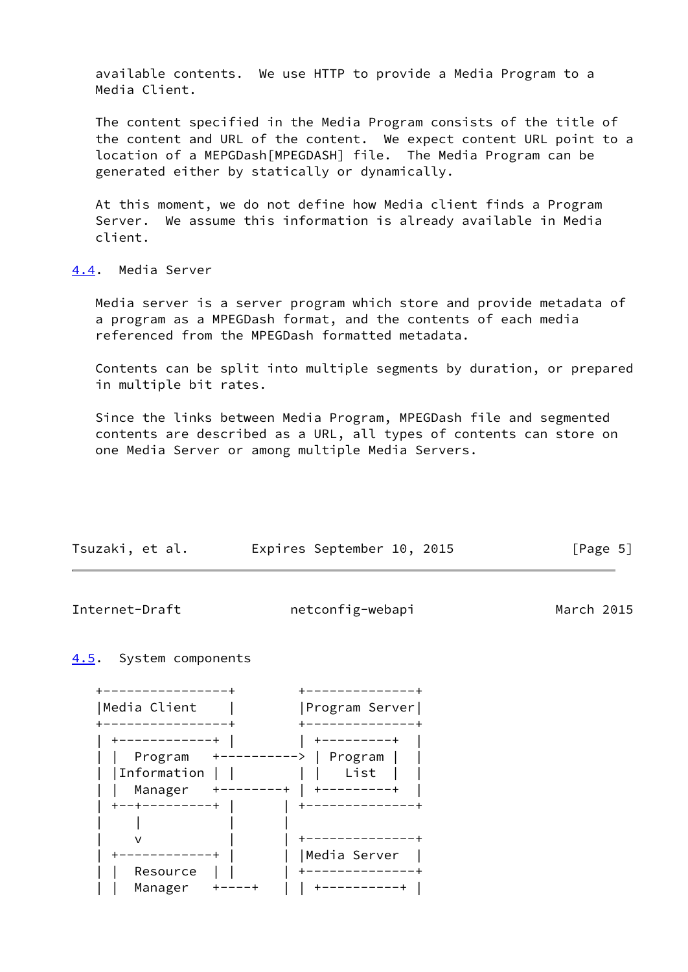available contents. We use HTTP to provide a Media Program to a Media Client.

 The content specified in the Media Program consists of the title of the content and URL of the content. We expect content URL point to a location of a MEPGDash[MPEGDASH] file. The Media Program can be generated either by statically or dynamically.

 At this moment, we do not define how Media client finds a Program Server. We assume this information is already available in Media client.

<span id="page-5-0"></span>[4.4](#page-5-0). Media Server

 Media server is a server program which store and provide metadata of a program as a MPEGDash format, and the contents of each media referenced from the MPEGDash formatted metadata.

 Contents can be split into multiple segments by duration, or prepared in multiple bit rates.

 Since the links between Media Program, MPEGDash file and segmented contents are described as a URL, all types of contents can store on one Media Server or among multiple Media Servers.

| Tsuzaki, et al. | Expires September 10, 2015 |  | [Page 5] |  |
|-----------------|----------------------------|--|----------|--|
|                 |                            |  |          |  |

<span id="page-5-2"></span>Internet-Draft netconfig-webapi March 2015

## <span id="page-5-1"></span>[4.5](#page-5-1). System components

| Media Client | Program Server |
|--------------|----------------|
|              |                |
| --------+    |                |
| Program      | Program        |
| Information  | List           |
| Manager      |                |
| ---------+   |                |
|              |                |
|              |                |
|              | Media Server   |
| Resource     |                |
| Manager      |                |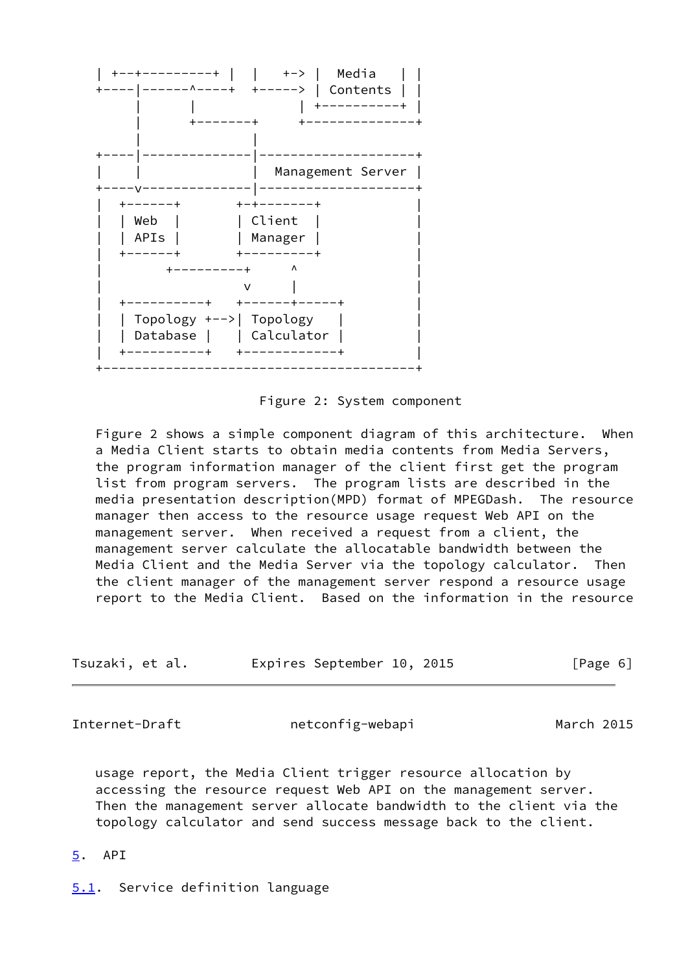

Figure 2: System component

 Figure 2 shows a simple component diagram of this architecture. When a Media Client starts to obtain media contents from Media Servers, the program information manager of the client first get the program list from program servers. The program lists are described in the media presentation description(MPD) format of MPEGDash. The resource manager then access to the resource usage request Web API on the management server. When received a request from a client, the management server calculate the allocatable bandwidth between the Media Client and the Media Server via the topology calculator. Then the client manager of the management server respond a resource usage report to the Media Client. Based on the information in the resource

| Tsuzaki, et al. | Expires September 10, 2015 |  | [Page 6] |
|-----------------|----------------------------|--|----------|
|-----------------|----------------------------|--|----------|

<span id="page-6-1"></span>Internet-Draft netconfig-webapi March 2015

 usage report, the Media Client trigger resource allocation by accessing the resource request Web API on the management server. Then the management server allocate bandwidth to the client via the topology calculator and send success message back to the client.

- <span id="page-6-0"></span>[5](#page-6-0). API
- <span id="page-6-2"></span>[5.1](#page-6-2). Service definition language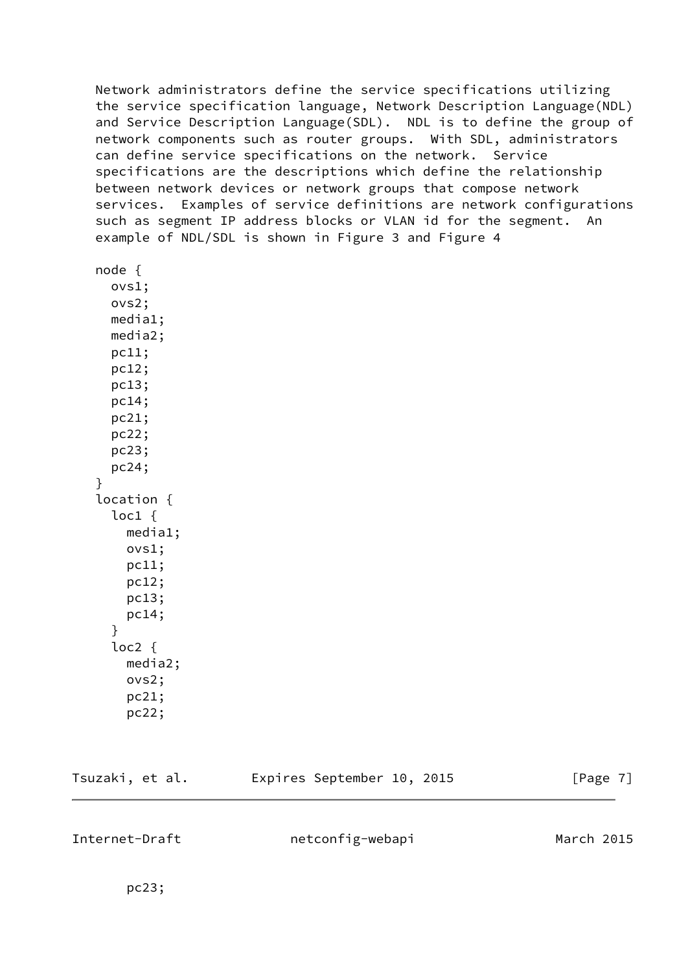Network administrators define the service specifications utilizing the service specification language, Network Description Language(NDL) and Service Description Language(SDL). NDL is to define the group of network components such as router groups. With SDL, administrators can define service specifications on the network. Service specifications are the descriptions which define the relationship between network devices or network groups that compose network services. Examples of service definitions are network configurations such as segment IP address blocks or VLAN id for the segment. An example of NDL/SDL is shown in Figure 3 and Figure 4

```
 node {
   ovs1;
   ovs2;
   media1;
   media2;
   pc11;
   pc12;
   pc13;
   pc14;
   pc21;
   pc22;
   pc23;
   pc24;
 }
 location {
   loc1 {
      media1;
      ovs1;
      pc11;
      pc12;
      pc13;
      pc14;
   }
   loc2 {
      media2;
      ovs2;
      pc21;
      pc22;
```

| Tsuzaki, et al. | Expires September 10, 2015 | [Page 7] |
|-----------------|----------------------------|----------|
|                 |                            |          |

Internet-Draft netconfig-webapi March 2015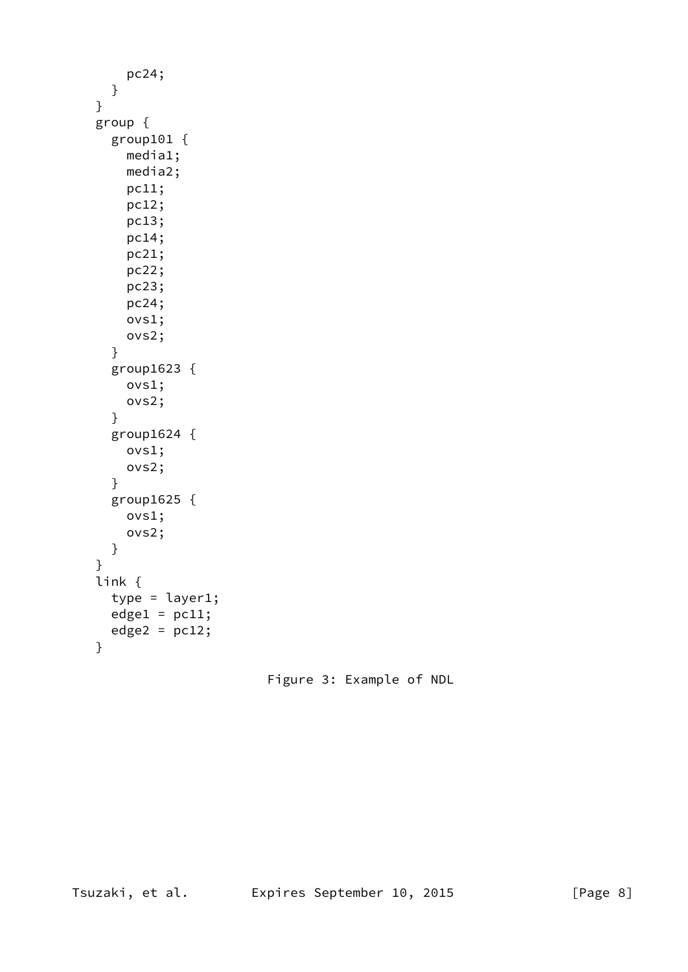```
 pc24;
   }
 }
 group {
   group101 {
     media1;
     media2;
     pc11;
     pc12;
     pc13;
     pc14;
     pc21;
     pc22;
     pc23;
     pc24;
     ovs1;
     ovs2;
   }
   group1623 {
     ovs1;
     ovs2;
   }
   group1624 {
     ovs1;
     ovs2;
   }
   group1625 {
     ovs1;
     ovs2;
   }
 }
 link {
  type = layer1;edge1 = pc11;edge2 = pc12;
 }
```
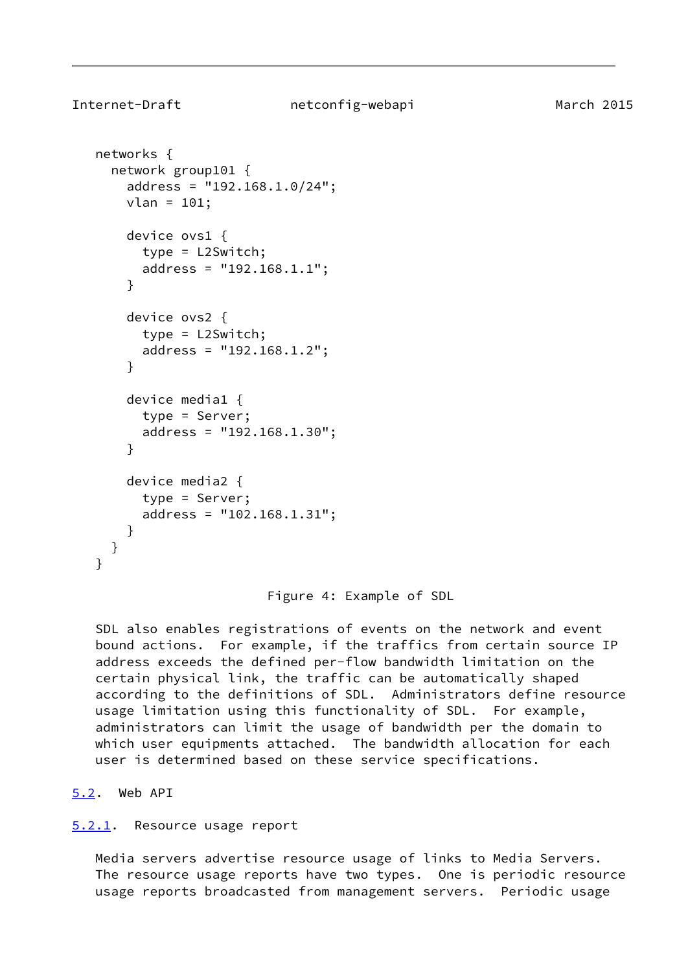```
 networks {
   network group101 {
     address = "192.168.1.0/24";
     vlan = 101;
     device ovs1 {
       type = L2Switch;
       address = "192.168.1.1";
     device ovs2 {
       type = L2Switch;
       address = "192.168.1.2";
     device media1 {
       type = Server;
       address = "192.168.1.30";
```

```
 device media2 {
       type = Server;
       address = "102.168.1.31";
     }
  }
 }
```
Figure 4: Example of SDL

 SDL also enables registrations of events on the network and event bound actions. For example, if the traffics from certain source IP address exceeds the defined per-flow bandwidth limitation on the certain physical link, the traffic can be automatically shaped according to the definitions of SDL. Administrators define resource usage limitation using this functionality of SDL. For example, administrators can limit the usage of bandwidth per the domain to which user equipments attached. The bandwidth allocation for each user is determined based on these service specifications.

# <span id="page-9-0"></span>[5.2](#page-9-0). Web API

}

}

}

#### <span id="page-9-2"></span>[5.2.1](#page-9-2). Resource usage report

 Media servers advertise resource usage of links to Media Servers. The resource usage reports have two types. One is periodic resource usage reports broadcasted from management servers. Periodic usage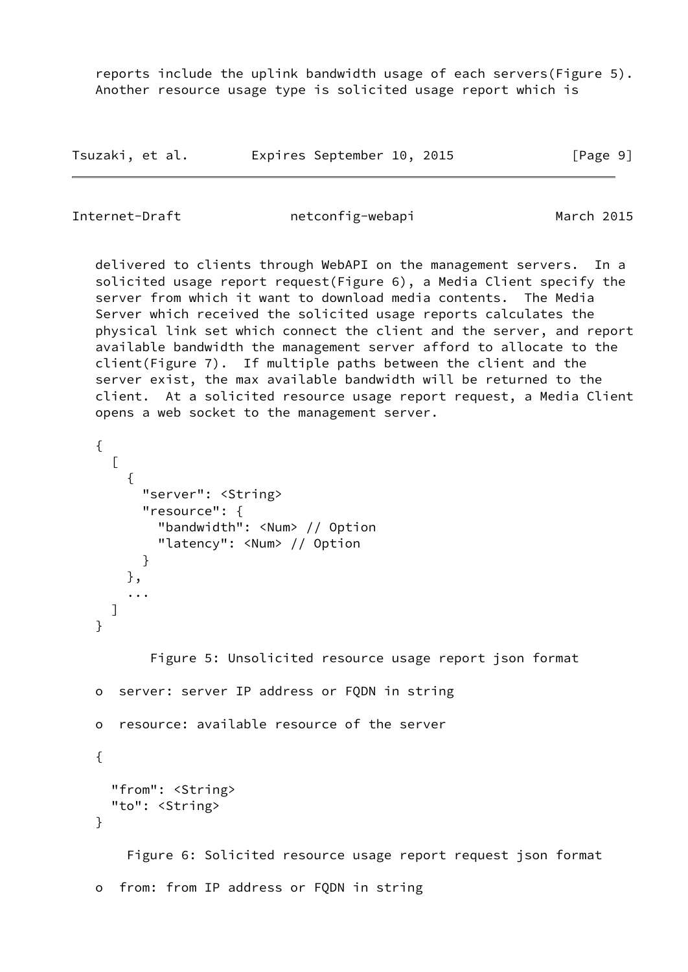reports include the uplink bandwidth usage of each servers(Figure 5). Another resource usage type is solicited usage report which is

| Tsuzaki, et al. |  | Expires September 10, 2015 |  |  | [Page 9] |  |
|-----------------|--|----------------------------|--|--|----------|--|
|-----------------|--|----------------------------|--|--|----------|--|

Internet-Draft netconfig-webapi March 2015

 delivered to clients through WebAPI on the management servers. In a solicited usage report request(Figure 6), a Media Client specify the server from which it want to download media contents. The Media Server which received the solicited usage reports calculates the physical link set which connect the client and the server, and report available bandwidth the management server afford to allocate to the client(Figure 7). If multiple paths between the client and the server exist, the max available bandwidth will be returned to the client. At a solicited resource usage report request, a Media Client opens a web socket to the management server.

```
 {
     \lceil {
          "server": <String>
          "resource": {
             "bandwidth": <Num> // Option
             "latency": <Num> // Option
 }
        },
        ...
      ]
```
Figure 5: Unsolicited resource usage report json format

```
 o server: server IP address or FQDN in string
```
o resource: available resource of the server

{

}

```
 "from": <String>
 "to": <String>
```
}

 Figure 6: Solicited resource usage report request json format o from: from IP address or FQDN in string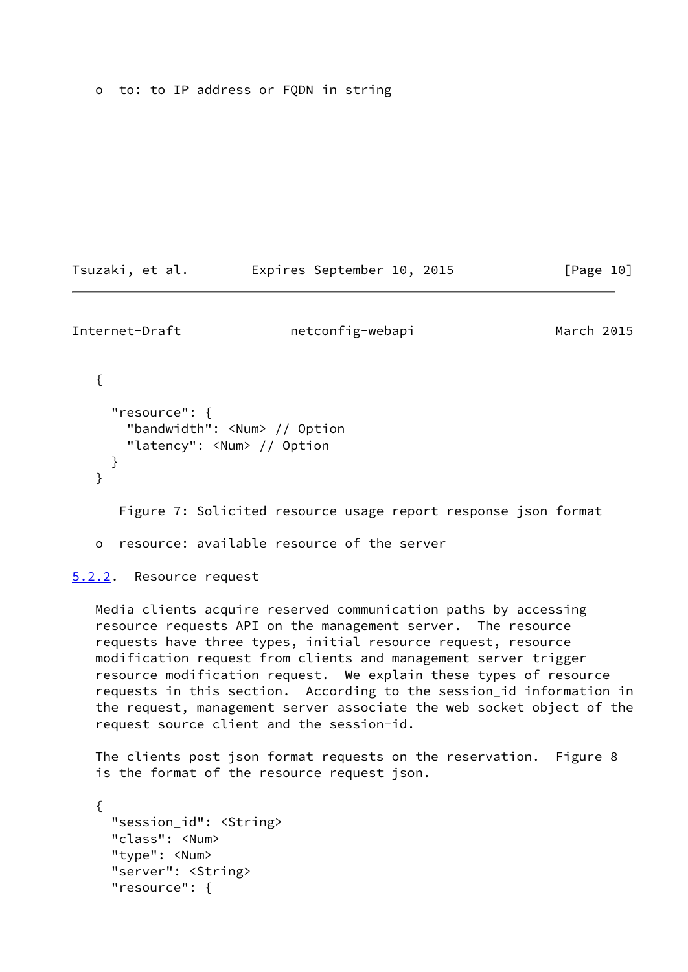o to: to IP address or FQDN in string

Tsuzaki, et al. Expires September 10, 2015 [Page 10]

<span id="page-11-1"></span>Internet-Draft netconfig-webapi March 2015

```
 {
   "resource": {
     "bandwidth": <Num> // Option
     "latency": <Num> // Option
   }
 }
    Figure 7: Solicited resource usage report response json format
```
o resource: available resource of the server

<span id="page-11-0"></span>[5.2.2](#page-11-0). Resource request

 Media clients acquire reserved communication paths by accessing resource requests API on the management server. The resource requests have three types, initial resource request, resource modification request from clients and management server trigger resource modification request. We explain these types of resource requests in this section. According to the session\_id information in the request, management server associate the web socket object of the request source client and the session-id.

 The clients post json format requests on the reservation. Figure 8 is the format of the resource request json.

 { "session\_id": <String> "class": <Num> "type": <Num> "server": <String> "resource": {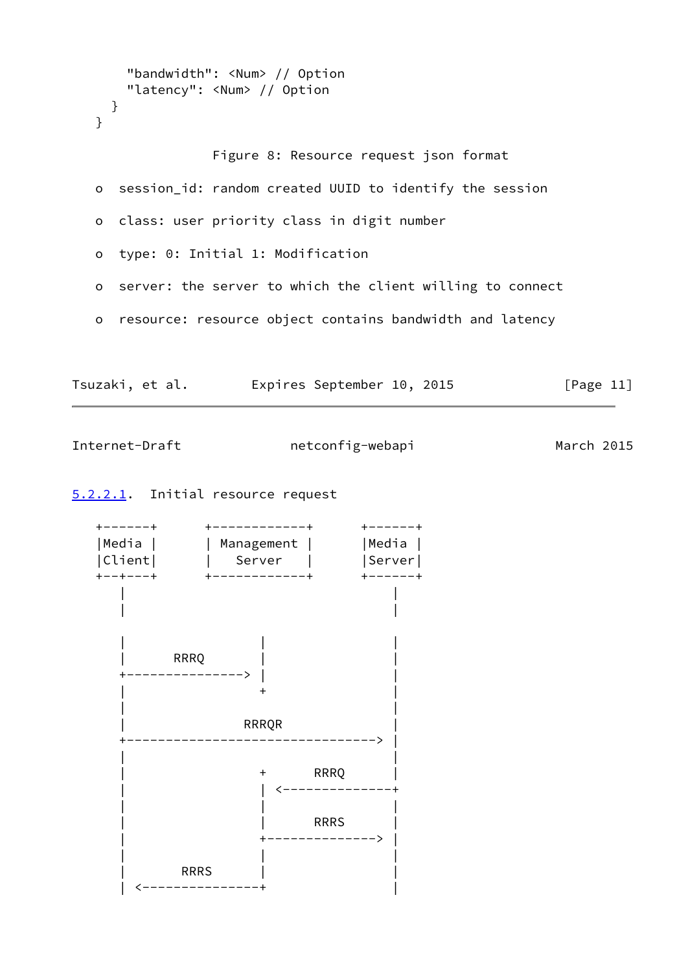```
 "bandwidth": <Num> // Option
       "latency": <Num> // Option
     }
    }
                  Figure 8: Resource request json format
   o session_id: random created UUID to identify the session
   o class: user priority class in digit number
   o type: 0: Initial 1: Modification
   o server: the server to which the client willing to connect
   o resource: resource object contains bandwidth and latency
Tsuzaki, et al. 
Expires September 10, 2015
[Page 11]
```
## <span id="page-12-0"></span>[5.2.2.1](#page-12-0). Initial resource request

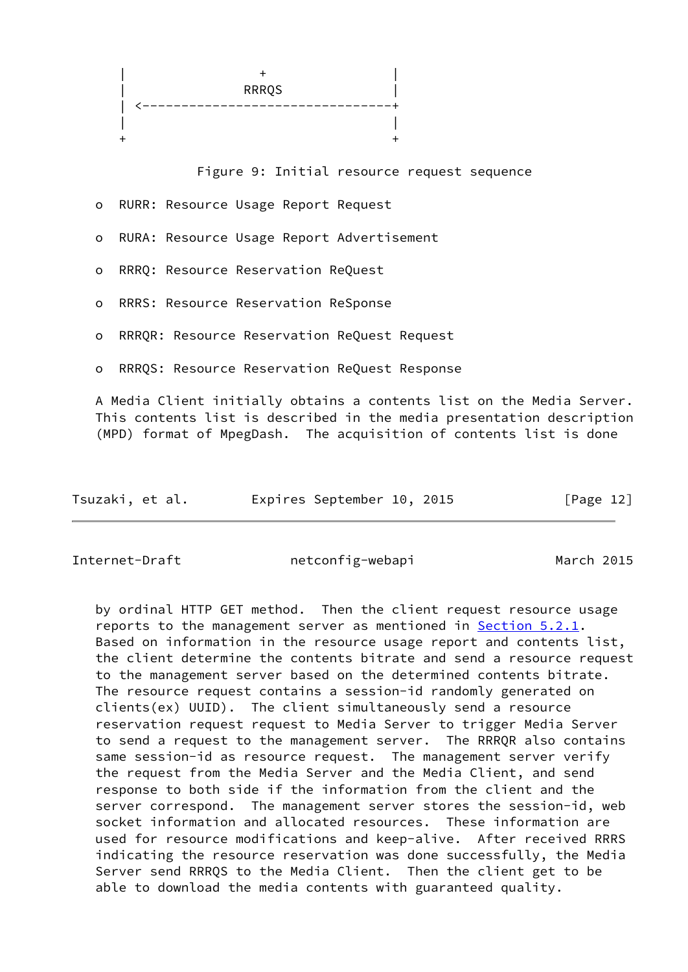

Figure 9: Initial resource request sequence

- o RURR: Resource Usage Report Request
- o RURA: Resource Usage Report Advertisement
- o RRRQ: Resource Reservation ReQuest
- o RRRS: Resource Reservation ReSponse
- o RRRQR: Resource Reservation ReQuest Request
- o RRRQS: Resource Reservation ReQuest Response

 A Media Client initially obtains a contents list on the Media Server. This contents list is described in the media presentation description (MPD) format of MpegDash. The acquisition of contents list is done

| Tsuzaki, et al. |  | Expires September 10, 2015 |  |  | [Page 12] |  |
|-----------------|--|----------------------------|--|--|-----------|--|
|-----------------|--|----------------------------|--|--|-----------|--|

Internet-Draft netconfig-webapi March 2015

 by ordinal HTTP GET method. Then the client request resource usage reports to the management server as mentioned in [Section 5.2.1](#page-9-2). Based on information in the resource usage report and contents list, the client determine the contents bitrate and send a resource request to the management server based on the determined contents bitrate. The resource request contains a session-id randomly generated on clients(ex) UUID). The client simultaneously send a resource reservation request request to Media Server to trigger Media Server to send a request to the management server. The RRRQR also contains same session-id as resource request. The management server verify the request from the Media Server and the Media Client, and send response to both side if the information from the client and the server correspond. The management server stores the session-id, web socket information and allocated resources. These information are used for resource modifications and keep-alive. After received RRRS indicating the resource reservation was done successfully, the Media Server send RRRQS to the Media Client. Then the client get to be able to download the media contents with guaranteed quality.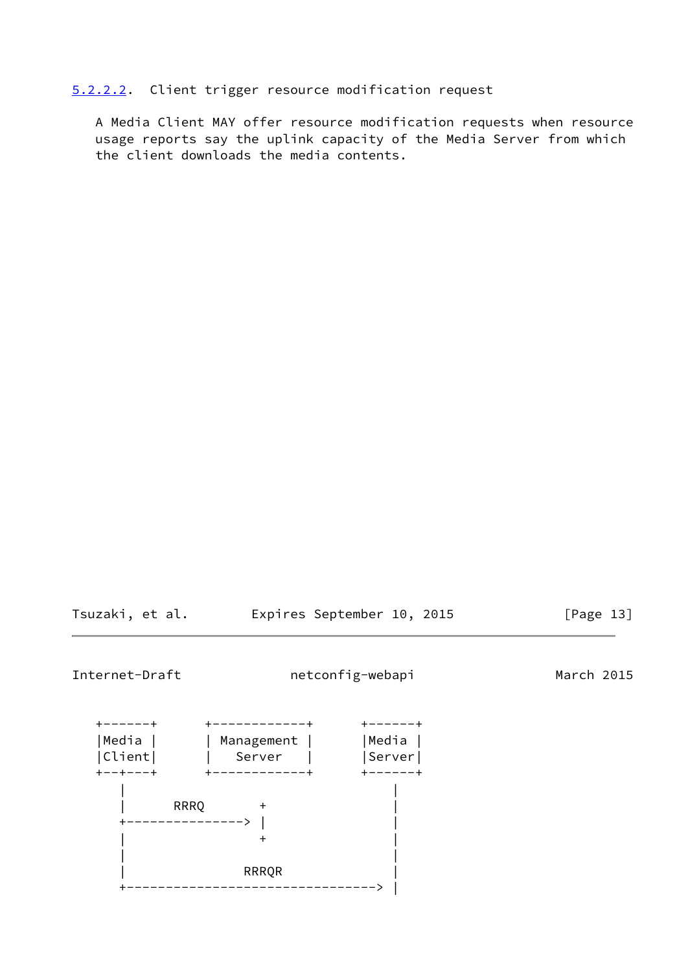<span id="page-14-0"></span>[5.2.2.2](#page-14-0). Client trigger resource modification request

 A Media Client MAY offer resource modification requests when resource usage reports say the uplink capacity of the Media Server from which the client downloads the media contents.

Tsuzaki, et al. Expires September 10, 2015 [Page 13]

Internet-Draft netconfig-webapi March 2015

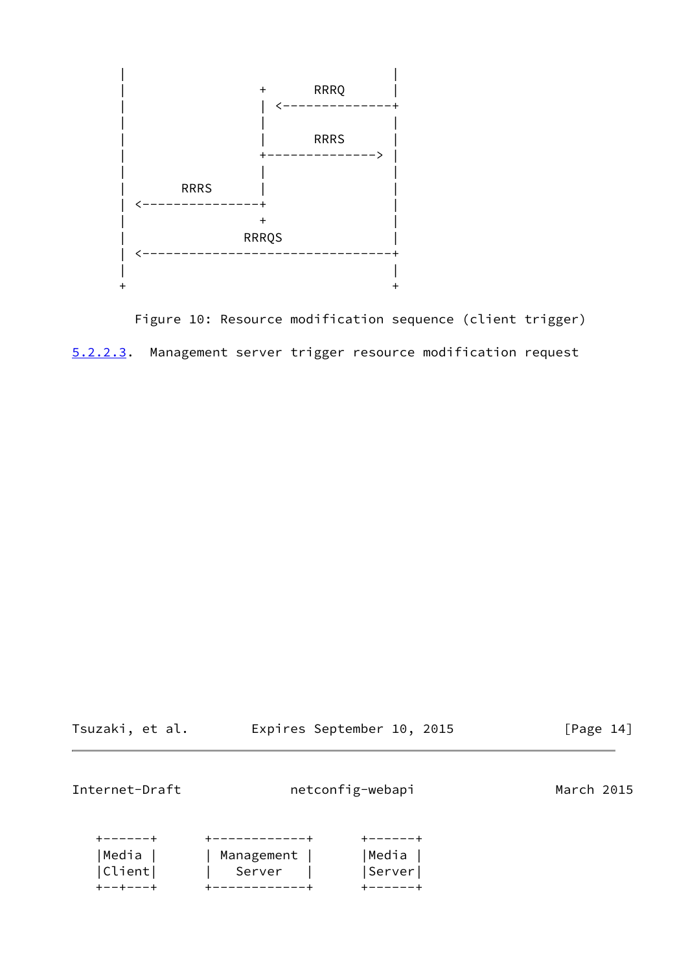

<span id="page-15-0"></span> Figure 10: Resource modification sequence (client trigger) [5.2.2.3](#page-15-0). Management server trigger resource modification request

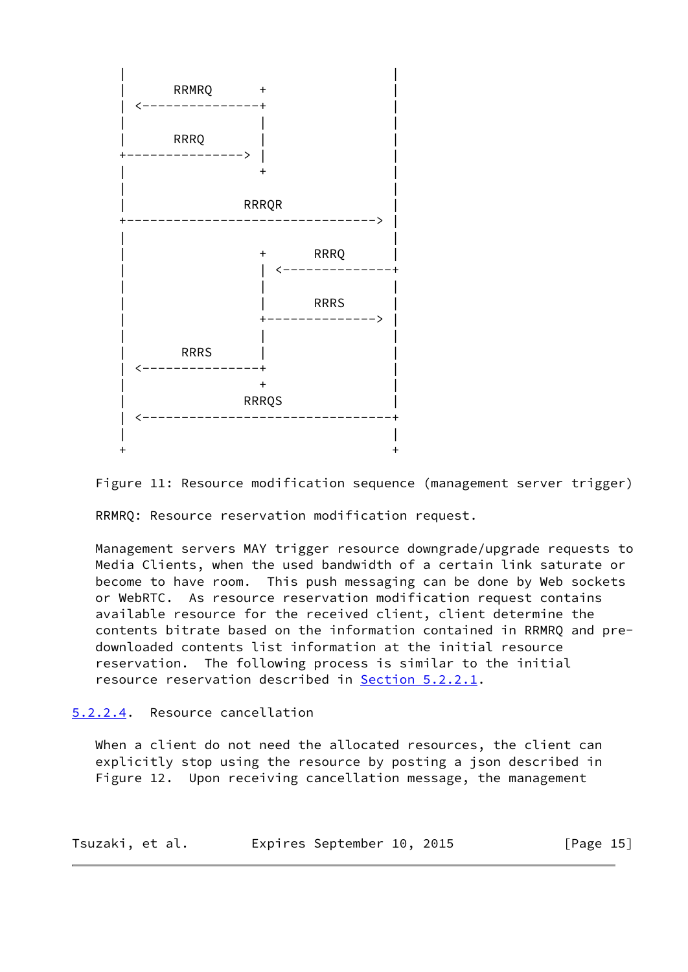

Figure 11: Resource modification sequence (management server trigger)

RRMRQ: Resource reservation modification request.

 Management servers MAY trigger resource downgrade/upgrade requests to Media Clients, when the used bandwidth of a certain link saturate or become to have room. This push messaging can be done by Web sockets or WebRTC. As resource reservation modification request contains available resource for the received client, client determine the contents bitrate based on the information contained in RRMRQ and pre downloaded contents list information at the initial resource reservation. The following process is similar to the initial resource reservation described in [Section 5.2.2.1](#page-12-0).

<span id="page-16-0"></span>[5.2.2.4](#page-16-0). Resource cancellation

When a client do not need the allocated resources, the client can explicitly stop using the resource by posting a json described in Figure 12. Upon receiving cancellation message, the management

| Tsuzaki, et al. |  | Expires September 10, 2015 |  |  | [Page $15$ ] |
|-----------------|--|----------------------------|--|--|--------------|
|-----------------|--|----------------------------|--|--|--------------|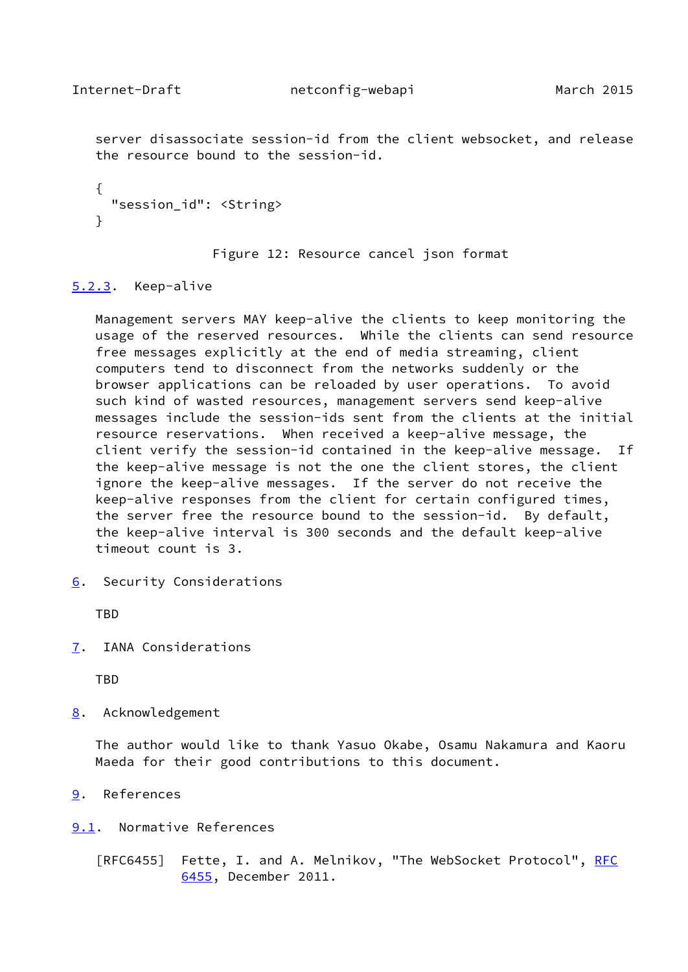<span id="page-17-1"></span> server disassociate session-id from the client websocket, and release the resource bound to the session-id.

```
 {
   "session_id": <String>
 }
```
Figure 12: Resource cancel json format

### <span id="page-17-0"></span>[5.2.3](#page-17-0). Keep-alive

 Management servers MAY keep-alive the clients to keep monitoring the usage of the reserved resources. While the clients can send resource free messages explicitly at the end of media streaming, client computers tend to disconnect from the networks suddenly or the browser applications can be reloaded by user operations. To avoid such kind of wasted resources, management servers send keep-alive messages include the session-ids sent from the clients at the initial resource reservations. When received a keep-alive message, the client verify the session-id contained in the keep-alive message. If the keep-alive message is not the one the client stores, the client ignore the keep-alive messages. If the server do not receive the keep-alive responses from the client for certain configured times, the server free the resource bound to the session-id. By default, the keep-alive interval is 300 seconds and the default keep-alive timeout count is 3.

<span id="page-17-2"></span>[6](#page-17-2). Security Considerations

**TBD** 

<span id="page-17-3"></span>[7](#page-17-3). IANA Considerations

TBD

<span id="page-17-4"></span>[8](#page-17-4). Acknowledgement

 The author would like to thank Yasuo Okabe, Osamu Nakamura and Kaoru Maeda for their good contributions to this document.

- <span id="page-17-5"></span>[9](#page-17-5). References
- <span id="page-17-6"></span>[9.1](#page-17-6). Normative References

[RFC6455] Fette, I. and A. Melnikov, "The WebSocket Protocol", [RFC](https://datatracker.ietf.org/doc/pdf/rfc6455) [6455,](https://datatracker.ietf.org/doc/pdf/rfc6455) December 2011.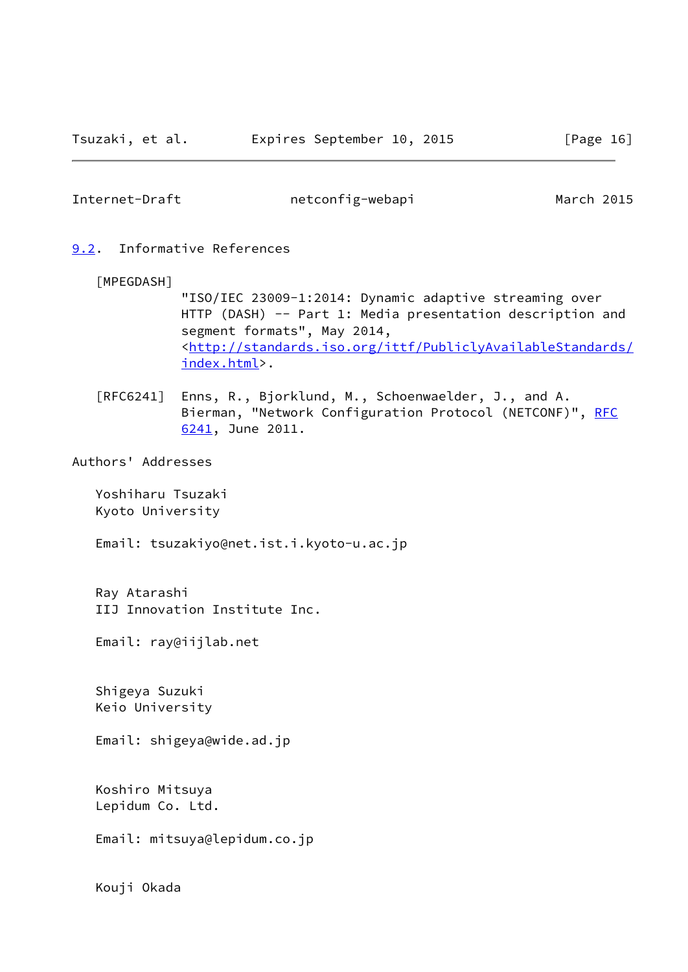#### <span id="page-18-1"></span><span id="page-18-0"></span>[9.2](#page-18-0). Informative References

#### [MPEGDASH]

 "ISO/IEC 23009-1:2014: Dynamic adaptive streaming over HTTP (DASH) -- Part 1: Media presentation description and segment formats", May 2014, <[http://standards.iso.org/ittf/PubliclyAvailableStandards/](http://standards.iso.org/ittf/PubliclyAvailableStandards/index.html) [index.html>](http://standards.iso.org/ittf/PubliclyAvailableStandards/index.html).

 [RFC6241] Enns, R., Bjorklund, M., Schoenwaelder, J., and A. Bierman, "Network Configuration Protocol (NETCONF)", [RFC](https://datatracker.ietf.org/doc/pdf/rfc6241) [6241,](https://datatracker.ietf.org/doc/pdf/rfc6241) June 2011.

#### Authors' Addresses

 Yoshiharu Tsuzaki Kyoto University

Email: tsuzakiyo@net.ist.i.kyoto-u.ac.jp

 Ray Atarashi IIJ Innovation Institute Inc.

Email: ray@iijlab.net

 Shigeya Suzuki Keio University

Email: shigeya@wide.ad.jp

 Koshiro Mitsuya Lepidum Co. Ltd.

Email: mitsuya@lepidum.co.jp

Kouji Okada